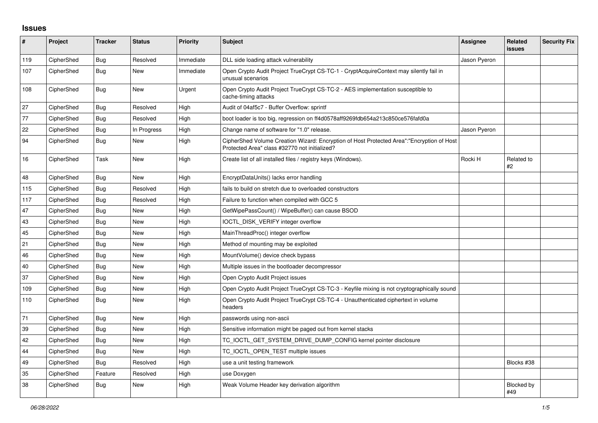## **Issues**

| #   | Project    | <b>Tracker</b> | <b>Status</b> | <b>Priority</b> | <b>Subject</b>                                                                                                                             | Assignee     | Related<br><b>issues</b> | <b>Security Fix</b> |
|-----|------------|----------------|---------------|-----------------|--------------------------------------------------------------------------------------------------------------------------------------------|--------------|--------------------------|---------------------|
| 119 | CipherShed | <b>Bug</b>     | Resolved      | Immediate       | DLL side loading attack vulnerability                                                                                                      | Jason Pyeron |                          |                     |
| 107 | CipherShed | <b>Bug</b>     | <b>New</b>    | Immediate       | Open Crypto Audit Project TrueCrypt CS-TC-1 - CryptAcquireContext may silently fail in<br>unusual scenarios                                |              |                          |                     |
| 108 | CipherShed | <b>Bug</b>     | <b>New</b>    | Urgent          | Open Crypto Audit Project TrueCrypt CS-TC-2 - AES implementation susceptible to<br>cache-timing attacks                                    |              |                          |                     |
| 27  | CipherShed | Bug            | Resolved      | High            | Audit of 04af5c7 - Buffer Overflow: sprintf                                                                                                |              |                          |                     |
| 77  | CipherShed | Bug            | Resolved      | High            | boot loader is too big, regression on ff4d0578aff9269fdb654a213c850ce576fafd0a                                                             |              |                          |                     |
| 22  | CipherShed | Bug            | In Progress   | High            | Change name of software for "1.0" release.                                                                                                 | Jason Pyeron |                          |                     |
| 94  | CipherShed | Bug            | New           | High            | CipherShed Volume Creation Wizard: Encryption of Host Protected Area":"Encryption of Host<br>Protected Area" class #32770 not initialized? |              |                          |                     |
| 16  | CipherShed | Task           | <b>New</b>    | High            | Create list of all installed files / registry keys (Windows).                                                                              | Rocki H      | Related to<br>#2         |                     |
| 48  | CipherShed | <b>Bug</b>     | <b>New</b>    | High            | EncryptDataUnits() lacks error handling                                                                                                    |              |                          |                     |
| 115 | CipherShed | <b>Bug</b>     | Resolved      | High            | fails to build on stretch due to overloaded constructors                                                                                   |              |                          |                     |
| 117 | CipherShed | Bug            | Resolved      | High            | Failure to function when compiled with GCC 5                                                                                               |              |                          |                     |
| 47  | CipherShed | <b>Bug</b>     | <b>New</b>    | High            | GetWipePassCount() / WipeBuffer() can cause BSOD                                                                                           |              |                          |                     |
| 43  | CipherShed | Bug            | <b>New</b>    | High            | IOCTL_DISK_VERIFY integer overflow                                                                                                         |              |                          |                     |
| 45  | CipherShed | Bug            | New           | High            | MainThreadProc() integer overflow                                                                                                          |              |                          |                     |
| 21  | CipherShed | Bug            | New           | High            | Method of mounting may be exploited                                                                                                        |              |                          |                     |
| 46  | CipherShed | Bug            | <b>New</b>    | High            | MountVolume() device check bypass                                                                                                          |              |                          |                     |
| 40  | CipherShed | Bug            | <b>New</b>    | High            | Multiple issues in the bootloader decompressor                                                                                             |              |                          |                     |
| 37  | CipherShed | Bug            | <b>New</b>    | High            | Open Crypto Audit Project issues                                                                                                           |              |                          |                     |
| 109 | CipherShed | <b>Bug</b>     | <b>New</b>    | High            | Open Crypto Audit Project TrueCrypt CS-TC-3 - Keyfile mixing is not cryptographically sound                                                |              |                          |                     |
| 110 | CipherShed | Bug            | <b>New</b>    | High            | Open Crypto Audit Project TrueCrypt CS-TC-4 - Unauthenticated ciphertext in volume<br>headers                                              |              |                          |                     |
| 71  | CipherShed | <b>Bug</b>     | <b>New</b>    | High            | passwords using non-ascii                                                                                                                  |              |                          |                     |
| 39  | CipherShed | <b>Bug</b>     | <b>New</b>    | High            | Sensitive information might be paged out from kernel stacks                                                                                |              |                          |                     |
| 42  | CipherShed | <b>Bug</b>     | <b>New</b>    | High            | TC_IOCTL_GET_SYSTEM_DRIVE_DUMP_CONFIG kernel pointer disclosure                                                                            |              |                          |                     |
| 44  | CipherShed | Bug            | <b>New</b>    | High            | TC_IOCTL_OPEN_TEST multiple issues                                                                                                         |              |                          |                     |
| 49  | CipherShed | Bug            | Resolved      | High            | use a unit testing framework                                                                                                               |              | Blocks #38               |                     |
| 35  | CipherShed | Feature        | Resolved      | High            | use Doxygen                                                                                                                                |              |                          |                     |
| 38  | CipherShed | Bug            | <b>New</b>    | High            | Weak Volume Header key derivation algorithm                                                                                                |              | <b>Blocked by</b><br>#49 |                     |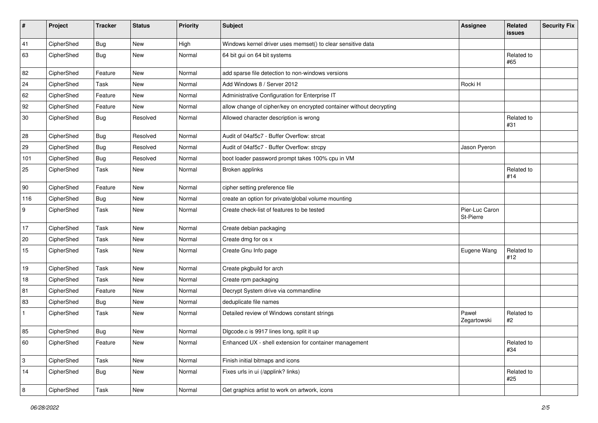| $\pmb{\#}$       | Project    | <b>Tracker</b> | <b>Status</b> | Priority | <b>Subject</b>                                                       | <b>Assignee</b>             | Related<br><b>issues</b> | <b>Security Fix</b> |
|------------------|------------|----------------|---------------|----------|----------------------------------------------------------------------|-----------------------------|--------------------------|---------------------|
| 41               | CipherShed | <b>Bug</b>     | <b>New</b>    | High     | Windows kernel driver uses memset() to clear sensitive data          |                             |                          |                     |
| 63               | CipherShed | <b>Bug</b>     | New           | Normal   | 64 bit gui on 64 bit systems                                         |                             | Related to<br>#65        |                     |
| 82               | CipherShed | Feature        | <b>New</b>    | Normal   | add sparse file detection to non-windows versions                    |                             |                          |                     |
| 24               | CipherShed | Task           | <b>New</b>    | Normal   | Add Windows 8 / Server 2012                                          | Rocki H                     |                          |                     |
| 62               | CipherShed | Feature        | New           | Normal   | Administrative Configuration for Enterprise IT                       |                             |                          |                     |
| 92               | CipherShed | Feature        | New           | Normal   | allow change of cipher/key on encrypted container without decrypting |                             |                          |                     |
| 30               | CipherShed | <b>Bug</b>     | Resolved      | Normal   | Allowed character description is wrong                               |                             | Related to<br>#31        |                     |
| 28               | CipherShed | <b>Bug</b>     | Resolved      | Normal   | Audit of 04af5c7 - Buffer Overflow: strcat                           |                             |                          |                     |
| 29               | CipherShed | <b>Bug</b>     | Resolved      | Normal   | Audit of 04af5c7 - Buffer Overflow: strcpy                           | Jason Pyeron                |                          |                     |
| 101              | CipherShed | <b>Bug</b>     | Resolved      | Normal   | boot loader password prompt takes 100% cpu in VM                     |                             |                          |                     |
| 25               | CipherShed | Task           | <b>New</b>    | Normal   | Broken applinks                                                      |                             | Related to<br>#14        |                     |
| 90               | CipherShed | Feature        | <b>New</b>    | Normal   | cipher setting preference file                                       |                             |                          |                     |
| 116              | CipherShed | <b>Bug</b>     | New           | Normal   | create an option for private/global volume mounting                  |                             |                          |                     |
| $\boldsymbol{9}$ | CipherShed | Task           | <b>New</b>    | Normal   | Create check-list of features to be tested                           | Pier-Luc Caron<br>St-Pierre |                          |                     |
| 17               | CipherShed | Task           | <b>New</b>    | Normal   | Create debian packaging                                              |                             |                          |                     |
| 20               | CipherShed | Task           | <b>New</b>    | Normal   | Create dmg for os x                                                  |                             |                          |                     |
| 15               | CipherShed | Task           | <b>New</b>    | Normal   | Create Gnu Info page                                                 | Eugene Wang                 | Related to<br>#12        |                     |
| 19               | CipherShed | Task           | New           | Normal   | Create pkgbuild for arch                                             |                             |                          |                     |
| 18               | CipherShed | Task           | New           | Normal   | Create rpm packaging                                                 |                             |                          |                     |
| 81               | CipherShed | Feature        | <b>New</b>    | Normal   | Decrypt System drive via commandline                                 |                             |                          |                     |
| 83               | CipherShed | <b>Bug</b>     | New           | Normal   | deduplicate file names                                               |                             |                          |                     |
| $\mathbf{1}$     | CipherShed | Task           | New           | Normal   | Detailed review of Windows constant strings                          | Paweł<br>Zegartowski        | Related to<br>#2         |                     |
| 85               | CipherShed | <b>Bug</b>     | <b>New</b>    | Normal   | Digcode.c is 9917 lines long, split it up                            |                             |                          |                     |
| 60               | CipherShed | Feature        | New           | Normal   | Enhanced UX - shell extension for container management               |                             | Related to<br>#34        |                     |
| $\mathsf 3$      | CipherShed | Task           | New           | Normal   | Finish initial bitmaps and icons                                     |                             |                          |                     |
| 14               | CipherShed | <b>Bug</b>     | New           | Normal   | Fixes urls in ui (/applink? links)                                   |                             | Related to<br>#25        |                     |
| $\bf 8$          | CipherShed | Task           | New           | Normal   | Get graphics artist to work on artwork, icons                        |                             |                          |                     |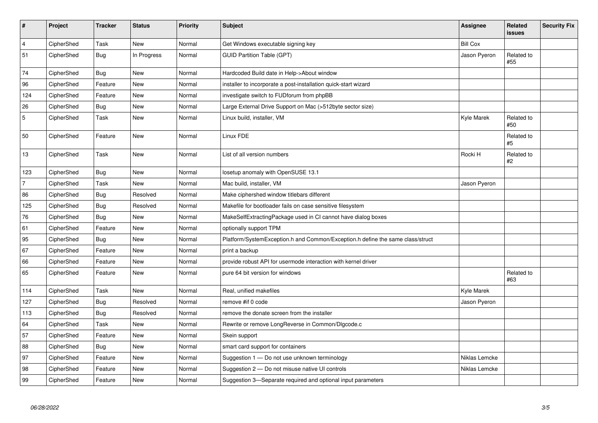| $\sharp$       | Project    | <b>Tracker</b> | <b>Status</b> | <b>Priority</b> | <b>Subject</b>                                                                 | Assignee        | Related<br>issues | <b>Security Fix</b> |
|----------------|------------|----------------|---------------|-----------------|--------------------------------------------------------------------------------|-----------------|-------------------|---------------------|
| $\overline{4}$ | CipherShed | Task           | <b>New</b>    | Normal          | Get Windows executable signing key                                             | <b>Bill Cox</b> |                   |                     |
| 51             | CipherShed | <b>Bug</b>     | In Progress   | Normal          | <b>GUID Partition Table (GPT)</b>                                              | Jason Pyeron    | Related to<br>#55 |                     |
| 74             | CipherShed | <b>Bug</b>     | <b>New</b>    | Normal          | Hardcoded Build date in Help->About window                                     |                 |                   |                     |
| 96             | CipherShed | Feature        | New           | Normal          | installer to incorporate a post-installation quick-start wizard                |                 |                   |                     |
| 124            | CipherShed | Feature        | <b>New</b>    | Normal          | investigate switch to FUDforum from phpBB                                      |                 |                   |                     |
| 26             | CipherShed | <b>Bug</b>     | New           | Normal          | Large External Drive Support on Mac (>512byte sector size)                     |                 |                   |                     |
| 5              | CipherShed | Task           | <b>New</b>    | Normal          | Linux build, installer, VM                                                     | Kyle Marek      | Related to<br>#50 |                     |
| 50             | CipherShed | Feature        | New           | Normal          | Linux FDE                                                                      |                 | Related to<br>#5  |                     |
| 13             | CipherShed | Task           | <b>New</b>    | Normal          | List of all version numbers                                                    | Rocki H         | Related to<br>#2  |                     |
| 123            | CipherShed | <b>Bug</b>     | New           | Normal          | losetup anomaly with OpenSUSE 13.1                                             |                 |                   |                     |
| $\overline{7}$ | CipherShed | Task           | <b>New</b>    | Normal          | Mac build, installer, VM                                                       | Jason Pyeron    |                   |                     |
| 86             | CipherShed | Bug            | Resolved      | Normal          | Make ciphershed window titlebars different                                     |                 |                   |                     |
| 125            | CipherShed | <b>Bug</b>     | Resolved      | Normal          | Makefile for bootloader fails on case sensitive filesystem                     |                 |                   |                     |
| 76             | CipherShed | <b>Bug</b>     | <b>New</b>    | Normal          | MakeSelfExtractingPackage used in CI cannot have dialog boxes                  |                 |                   |                     |
| 61             | CipherShed | Feature        | New           | Normal          | optionally support TPM                                                         |                 |                   |                     |
| 95             | CipherShed | <b>Bug</b>     | <b>New</b>    | Normal          | Platform/SystemException.h and Common/Exception.h define the same class/struct |                 |                   |                     |
| 67             | CipherShed | Feature        | New           | Normal          | print a backup                                                                 |                 |                   |                     |
| 66             | CipherShed | Feature        | <b>New</b>    | Normal          | provide robust API for usermode interaction with kernel driver                 |                 |                   |                     |
| 65             | CipherShed | Feature        | <b>New</b>    | Normal          | pure 64 bit version for windows                                                |                 | Related to<br>#63 |                     |
| 114            | CipherShed | Task           | <b>New</b>    | Normal          | Real, unified makefiles                                                        | Kyle Marek      |                   |                     |
| 127            | CipherShed | <b>Bug</b>     | Resolved      | Normal          | remove #if 0 code                                                              | Jason Pyeron    |                   |                     |
| 113            | CipherShed | <b>Bug</b>     | Resolved      | Normal          | remove the donate screen from the installer                                    |                 |                   |                     |
| 64             | CipherShed | Task           | <b>New</b>    | Normal          | Rewrite or remove LongReverse in Common/Dlgcode.c                              |                 |                   |                     |
| 57             | CipherShed | Feature        | <b>New</b>    | Normal          | Skein support                                                                  |                 |                   |                     |
| 88             | CipherShed | <b>Bug</b>     | <b>New</b>    | Normal          | smart card support for containers                                              |                 |                   |                     |
| 97             | CipherShed | Feature        | <b>New</b>    | Normal          | Suggestion 1 - Do not use unknown terminology                                  | Niklas Lemcke   |                   |                     |
| 98             | CipherShed | Feature        | New           | Normal          | Suggestion 2 - Do not misuse native UI controls                                | Niklas Lemcke   |                   |                     |
| 99             | CipherShed | Feature        | <b>New</b>    | Normal          | Suggestion 3-Separate required and optional input parameters                   |                 |                   |                     |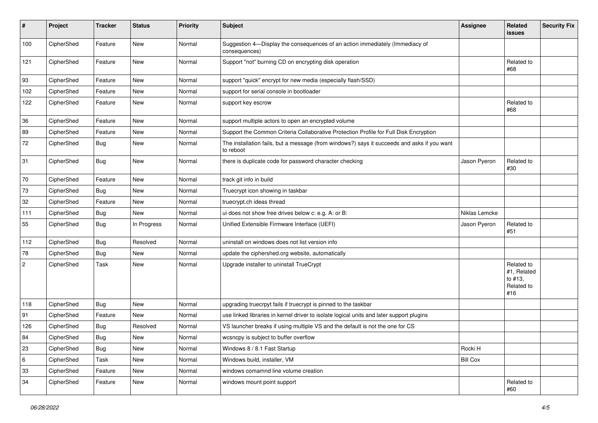| #                | Project    | <b>Tracker</b> | <b>Status</b> | <b>Priority</b> | <b>Subject</b>                                                                                           | <b>Assignee</b> | <b>Related</b><br><b>issues</b>                           | <b>Security Fix</b> |
|------------------|------------|----------------|---------------|-----------------|----------------------------------------------------------------------------------------------------------|-----------------|-----------------------------------------------------------|---------------------|
| 100              | CipherShed | Feature        | New           | Normal          | Suggestion 4-Display the consequences of an action immediately (Immediacy of<br>consequences)            |                 |                                                           |                     |
| 121              | CipherShed | Feature        | New           | Normal          | Support "not" burning CD on encrypting disk operation                                                    |                 | Related to<br>#68                                         |                     |
| 93               | CipherShed | Feature        | New           | Normal          | support "quick" encrypt for new media (especially flash/SSD)                                             |                 |                                                           |                     |
| 102              | CipherShed | Feature        | New           | Normal          | support for serial console in bootloader                                                                 |                 |                                                           |                     |
| 122              | CipherShed | Feature        | New           | Normal          | support key escrow                                                                                       |                 | Related to<br>#68                                         |                     |
| 36               | CipherShed | Feature        | New           | Normal          | support multiple actors to open an encrypted volume                                                      |                 |                                                           |                     |
| 89               | CipherShed | Feature        | New           | Normal          | Support the Common Criteria Collaborative Protection Profile for Full Disk Encryption                    |                 |                                                           |                     |
| 72               | CipherShed | <b>Bug</b>     | New           | Normal          | The installation fails, but a message (from windows?) says it succeeds and asks if you want<br>to reboot |                 |                                                           |                     |
| 31               | CipherShed | <b>Bug</b>     | New           | Normal          | there is duplicate code for password character checking                                                  | Jason Pyeron    | Related to<br>#30                                         |                     |
| 70               | CipherShed | Feature        | New           | Normal          | track git info in build                                                                                  |                 |                                                           |                     |
| 73               | CipherShed | <b>Bug</b>     | New           | Normal          | Truecrypt icon showing in taskbar                                                                        |                 |                                                           |                     |
| 32               | CipherShed | Feature        | New           | Normal          | truecrypt.ch ideas thread                                                                                |                 |                                                           |                     |
| 111              | CipherShed | <b>Bug</b>     | New           | Normal          | ui does not show free drives below c: e.g. A: or B:                                                      | Niklas Lemcke   |                                                           |                     |
| 55               | CipherShed | Bug            | In Progress   | Normal          | Unified Extensible Firmware Interface (UEFI)                                                             | Jason Pyeron    | Related to<br>#51                                         |                     |
| 112              | CipherShed | <b>Bug</b>     | Resolved      | Normal          | uninstall on windows does not list version info                                                          |                 |                                                           |                     |
| 78               | CipherShed | <b>Bug</b>     | New           | Normal          | update the ciphershed.org website, automatically                                                         |                 |                                                           |                     |
| $\boldsymbol{2}$ | CipherShed | Task           | New           | Normal          | Upgrade installer to uninstall TrueCrypt                                                                 |                 | Related to<br>#1, Related<br>to #13,<br>Related to<br>#16 |                     |
| 118              | CipherShed | <b>Bug</b>     | <b>New</b>    | Normal          | upgrading truecrpyt fails if truecrypt is pinned to the taskbar                                          |                 |                                                           |                     |
| 91               | CipherShed | Feature        | New           | Normal          | use linked libraries in kernel driver to isolate logical units and later support plugins                 |                 |                                                           |                     |
| 126              | CipherShed | Bug            | Resolved      | Normal          | VS launcher breaks if using multiple VS and the default is not the one for CS                            |                 |                                                           |                     |
| 84               | CipherShed | Bug            | New           | Normal          | wcsncpy is subject to buffer overflow                                                                    |                 |                                                           |                     |
| 23               | CipherShed | <b>Bug</b>     | New           | Normal          | Windows 8 / 8.1 Fast Startup                                                                             | Rocki H         |                                                           |                     |
| $\,6\,$          | CipherShed | Task           | New           | Normal          | Windows build, installer, VM                                                                             | <b>Bill Cox</b> |                                                           |                     |
| 33               | CipherShed | Feature        | New           | Normal          | windows comamnd line volume creation                                                                     |                 |                                                           |                     |
| 34               | CipherShed | Feature        | New           | Normal          | windows mount point support                                                                              |                 | Related to<br>#60                                         |                     |